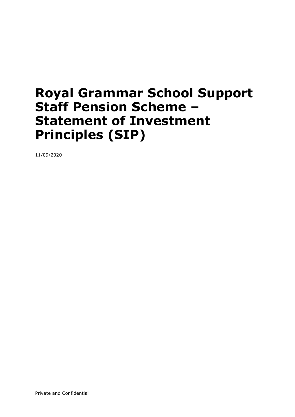### Royal Grammar School Support Staff Pension Scheme – Statement of Investment Principles (SIP)

11/09/2020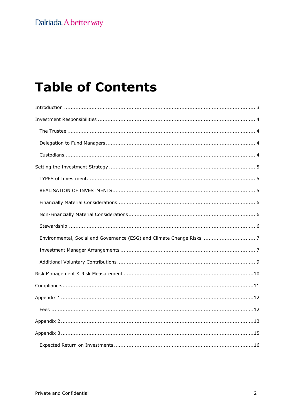# **Table of Contents**

| Environmental, Social and Governance (ESG) and Climate Change Risks  7 |
|------------------------------------------------------------------------|
|                                                                        |
|                                                                        |
|                                                                        |
|                                                                        |
|                                                                        |
|                                                                        |
|                                                                        |
|                                                                        |
|                                                                        |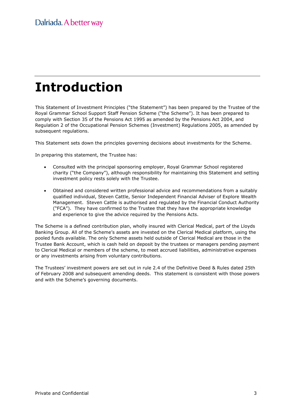# Introduction

This Statement of Investment Principles ("the Statement") has been prepared by the Trustee of the Royal Grammar School Support Staff Pension Scheme ("the Scheme"). It has been prepared to comply with Section 35 of the Pensions Act 1995 as amended by the Pensions Act 2004, and Regulation 2 of the Occupational Pension Schemes (Investment) Regulations 2005, as amended by subsequent regulations.

This Statement sets down the principles governing decisions about investments for the Scheme.

In preparing this statement, the Trustee has:

- Consulted with the principal sponsoring employer, Royal Grammar School registered charity ("the Company"), although responsibility for maintaining this Statement and setting investment policy rests solely with the Trustee.
- Obtained and considered written professional advice and recommendations from a suitably qualified individual, Steven Cattle, Senior Independent Financial Adviser of Explore Wealth Management. Steven Cattle is authorised and regulated by the Financial Conduct Authority ("FCA"). They have confirmed to the Trustee that they have the appropriate knowledge and experience to give the advice required by the Pensions Acts.

The Scheme is a defined contribution plan, wholly insured with Clerical Medical, part of the Lloyds Banking Group. All of the Scheme's assets are invested on the Clerical Medical platform, using the pooled funds available. The only Scheme assets held outside of Clerical Medical are those in the Trustee Bank Account, which is cash held on deposit by the trustees or managers pending payment to Clerical Medical or members of the scheme, to meet accrued liabilities, administrative expenses or any investments arising from voluntary contributions.

The Trustees' investment powers are set out in rule 2.4 of the Definitive Deed & Rules dated 25th of February 2008 and subsequent amending deeds. This statement is consistent with those powers and with the Scheme's governing documents.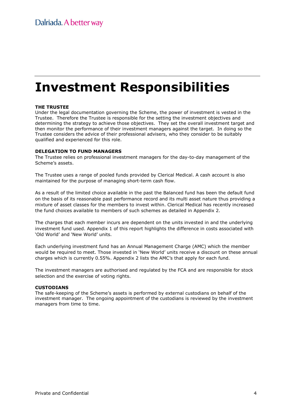# Investment Responsibilities

#### THE TRUSTEE

Under the legal documentation governing the Scheme, the power of investment is vested in the Trustee. Therefore the Trustee is responsible for the setting the investment objectives and determining the strategy to achieve those objectives. They set the overall investment target and then monitor the performance of their investment managers against the target. In doing so the Trustee considers the advice of their professional advisers, who they consider to be suitably qualified and experienced for this role.

#### DELEGATION TO FUND MANAGERS

The Trustee relies on professional investment managers for the day-to-day management of the Scheme's assets.

The Trustee uses a range of pooled funds provided by Clerical Medical. A cash account is also maintained for the purpose of managing short-term cash flow.

As a result of the limited choice available in the past the Balanced fund has been the default fund on the basis of its reasonable past performance record and its multi asset nature thus providing a mixture of asset classes for the members to invest within. Clerical Medical has recently increased the fund choices available to members of such schemes as detailed in Appendix 2.

The charges that each member incurs are dependent on the units invested in and the underlying investment fund used. Appendix 1 of this report highlights the difference in costs associated with 'Old World' and 'New World' units.

Each underlying investment fund has an Annual Management Charge (AMC) which the member would be required to meet. Those invested in 'New World' units receive a discount on these annual charges which is currently 0.55%. Appendix 2 lists the AMC's that apply for each fund.

The investment managers are authorised and regulated by the FCA and are responsible for stock selection and the exercise of voting rights.

#### CUSTODIANS

The safe-keeping of the Scheme's assets is performed by external custodians on behalf of the investment manager. The ongoing appointment of the custodians is reviewed by the investment managers from time to time.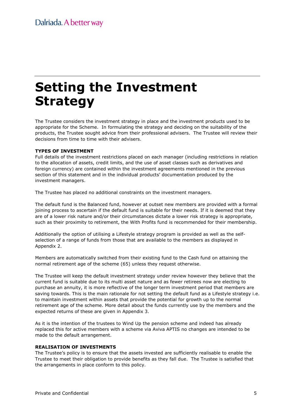## Setting the Investment Strategy

The Trustee considers the investment strategy in place and the investment products used to be appropriate for the Scheme. In formulating the strategy and deciding on the suitability of the products, the Trustee sought advice from their professional advisers. The Trustee will review their decisions from time to time with their advisers.

#### TYPES OF INVESTMENT

Full details of the investment restrictions placed on each manager (including restrictions in relation to the allocation of assets, credit limits, and the use of asset classes such as derivatives and foreign currency) are contained within the investment agreements mentioned in the previous section of this statement and in the individual products' documentation produced by the investment managers.

The Trustee has placed no additional constraints on the investment managers.

The default fund is the Balanced fund, however at outset new members are provided with a formal joining process to ascertain if the default fund is suitable for their needs. If it is deemed that they are of a lower risk nature and/or their circumstances dictate a lower risk strategy is appropriate, such as their proximity to retirement, the With Profits fund is recommended for their membership.

Additionally the option of utilising a Lifestyle strategy program is provided as well as the selfselection of a range of funds from those that are available to the members as displayed in Appendix 2.

Members are automatically switched from their existing fund to the Cash fund on attaining the normal retirement age of the scheme (65) unless they request otherwise.

The Trustee will keep the default investment strategy under review however they believe that the current fund is suitable due to its multi asset nature and as fewer retirees now are electing to purchase an annuity, it is more reflective of the longer term investment period that members are saving towards. This is the main rationale for not setting the default fund as a Lifestyle strategy i.e. to maintain investment within assets that provide the potential for growth up to the normal retirement age of the scheme. More detail about the funds currently use by the members and the expected returns of these are given in Appendix 3.

As it is the intention of the trustees to Wind Up the pension scheme and indeed has already replaced this for active members with a scheme via Aviva APTIS no changes are intended to be made to the default arrangement.

#### REALISATION OF INVESTMENTS

The Trustee's policy is to ensure that the assets invested are sufficiently realisable to enable the Trustee to meet their obligation to provide benefits as they fall due. The Trustee is satisfied that the arrangements in place conform to this policy.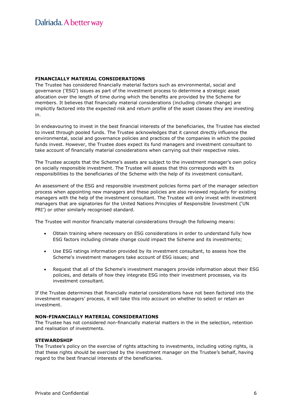#### FINANCIALLY MATERIAL CONSIDERATIONS

The Trustee has considered financially material factors such as environmental, social and governance ('ESG') issues as part of the investment process to determine a strategic asset allocation over the length of time during which the benefits are provided by the Scheme for members. It believes that financially material considerations (including climate change) are implicitly factored into the expected risk and return profile of the asset classes they are investing in.

In endeavouring to invest in the best financial interests of the beneficiaries, the Trustee has elected to invest through pooled funds. The Trustee acknowledges that it cannot directly influence the environmental, social and governance policies and practices of the companies in which the pooled funds invest. However, the Trustee does expect its fund managers and investment consultant to take account of financially material considerations when carrying out their respective roles.

The Trustee accepts that the Scheme's assets are subject to the investment manager's own policy on socially responsible investment. The Trustee will assess that this corresponds with its responsibilities to the beneficiaries of the Scheme with the help of its investment consultant.

An assessment of the ESG and responsible investment policies forms part of the manager selection process when appointing new managers and these policies are also reviewed regularly for existing managers with the help of the investment consultant. The Trustee will only invest with investment managers that are signatories for the United Nations Principles of Responsible Investment ('UN PRI') or other similarly recognised standard.

The Trustee will monitor financially material considerations through the following means:

- Obtain training where necessary on ESG considerations in order to understand fully how ESG factors including climate change could impact the Scheme and its investments;
- Use ESG ratings information provided by its investment consultant, to assess how the Scheme's investment managers take account of ESG issues; and
- Request that all of the Scheme's investment managers provide information about their ESG policies, and details of how they integrate ESG into their investment processes, via its investment consultant.

If the Trustee determines that financially material considerations have not been factored into the investment managers' process, it will take this into account on whether to select or retain an investment.

#### NON-FINANCIALLY MATERIAL CONSIDERATIONS

The Trustee has not considered non-financially material matters in the in the selection, retention and realisation of investments.

#### **STEWARDSHIP**

The Trustee's policy on the exercise of rights attaching to investments, including voting rights, is that these rights should be exercised by the investment manager on the Trustee's behalf, having regard to the best financial interests of the beneficiaries.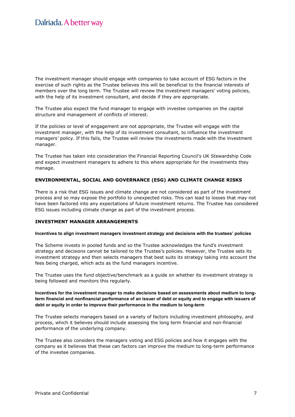The investment manager should engage with companies to take account of ESG factors in the exercise of such rights as the Trustee believes this will be beneficial to the financial interests of members over the long term. The Trustee will review the investment managers' voting policies, with the help of its investment consultant, and decide if they are appropriate.

The Trustee also expect the fund manager to engage with investee companies on the capital structure and management of conflicts of interest.

If the policies or level of engagement are not appropriate, the Trustee will engage with the investment manager, with the help of its investment consultant, to influence the investment managers' policy. If this fails, the Trustee will review the investments made with the investment manager.

The Trustee has taken into consideration the Financial Reporting Council's UK Stewardship Code and expect investment managers to adhere to this where appropriate for the investments they manage.

#### ENVIRONMENTAL, SOCIAL AND GOVERNANCE (ESG) AND CLIMATE CHANGE RISKS

There is a risk that ESG issues and climate change are not considered as part of the investment process and so may expose the portfolio to unexpected risks. This can lead to losses that may not have been factored into any expectations of future investment returns. The Trustee has considered ESG issues including climate change as part of the investment process.

#### INVESTMENT MANAGER ARRANGEMENTS

#### Incentives to align investment managers investment strategy and decisions with the trustees' policies

The Scheme invests in pooled funds and so the Trustee acknowledges the fund's investment strategy and decisions cannot be tailored to the Trustee's policies. However, the Trustee sets its investment strategy and then selects managers that best suits its strategy taking into account the fees being charged, which acts as the fund managers incentive.

The Trustee uses the fund objective/benchmark as a guide on whether its investment strategy is being followed and monitors this regularly.

#### Incentives for the investment manager to make decisions based on assessments about medium to longterm financial and nonfinancial performance of an issuer of debt or equity and to engage with issuers of debt or equity in order to improve their performance in the medium to long-term

The Trustee selects managers based on a variety of factors including investment philosophy, and process, which it believes should include assessing the long term financial and non-financial performance of the underlying company.

The Trustee also considers the managers voting and ESG policies and how it engages with the company as it believes that these can factors can improve the medium to long-term performance of the investee companies.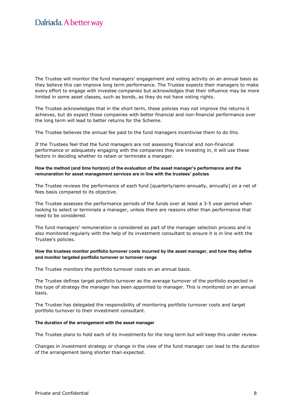The Trustee will monitor the fund managers' engagement and voting activity on an annual basis as they believe this can improve long term performance. The Trustee expects their managers to make every effort to engage with investee companies but acknowledges that their influence may be more limited in some asset classes, such as bonds, as they do not have voting rights.

The Trustee acknowledges that in the short term, these policies may not improve the returns it achieves, but do expect those companies with better financial and non-financial performance over the long term will lead to better returns for the Scheme.

The Trustee believes the annual fee paid to the fund managers incentivise them to do this.

If the Trustees feel that the fund managers are not assessing financial and non-financial performance or adequately engaging with the companies they are investing in, it will use these factors in deciding whether to retain or terminate a manager.

#### How the method (and time horizon) of the evaluation of the asset manager's performance and the remuneration for asset management services are in line with the trustees' policies

The Trustee reviews the performance of each fund [quarterly/semi-annually, annually] on a net of fees basis compared to its objective.

The Trustee assesses the performance periods of the funds over at least a 3-5 year period when looking to select or terminate a manager, unless there are reasons other than performance that need to be considered.

The fund managers' remuneration is considered as part of the manager selection process and is also monitored regularly with the help of its investment consultant to ensure it is in line with the Trustee's policies.

#### How the trustees monitor portfolio turnover costs incurred by the asset manager, and how they define and monitor targeted portfolio turnover or turnover range

The Trustee monitors the portfolio turnover costs on an annual basis.

The Trustee defines target portfolio turnover as the average turnover of the portfolio expected in the type of strategy the manager has been appointed to manager. This is monitored on an annual basis.

The Trustee has delegated the responsibility of monitoring portfolio turnover costs and target portfolio turnover to their investment consultant.

#### The duration of the arrangement with the asset manager

The Trustee plans to hold each of its investments for the long term but will keep this under review.

Changes in investment strategy or change in the view of the fund manager can lead to the duration of the arrangement being shorter than expected.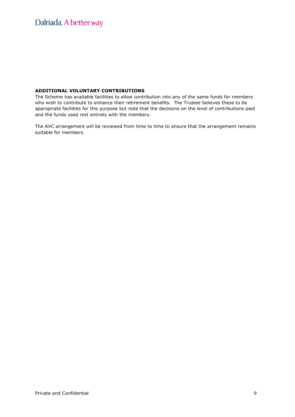### Dalriada. A better way

#### ADDITIONAL VOLUNTARY CONTRIBUTIONS

The Scheme has available facilities to allow contribution into any of the same funds for members who wish to contribute to enhance their retirement benefits. The Trustee believes these to be appropriate facilities for this purpose but note that the decisions on the level of contributions paid and the funds used rest entirely with the members.

The AVC arrangement will be reviewed from time to time to ensure that the arrangement remains suitable for members.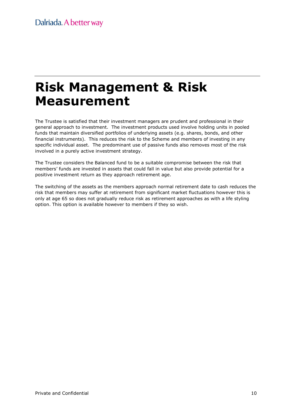### Risk Management & Risk Measurement

The Trustee is satisfied that their investment managers are prudent and professional in their general approach to investment. The investment products used involve holding units in pooled funds that maintain diversified portfolios of underlying assets (e.g. shares, bonds, and other financial instruments). This reduces the risk to the Scheme and members of investing in any specific individual asset. The predominant use of passive funds also removes most of the risk involved in a purely active investment strategy.

The Trustee considers the Balanced fund to be a suitable compromise between the risk that members' funds are invested in assets that could fall in value but also provide potential for a positive investment return as they approach retirement age.

The switching of the assets as the members approach normal retirement date to cash reduces the risk that members may suffer at retirement from significant market fluctuations however this is only at age 65 so does not gradually reduce risk as retirement approaches as with a life styling option. This option is available however to members if they so wish.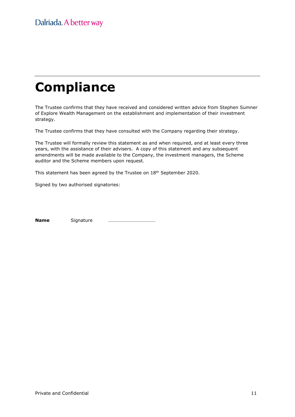# **Compliance**

The Trustee confirms that they have received and considered written advice from Stephen Sumner of Explore Wealth Management on the establishment and implementation of their investment strategy.

The Trustee confirms that they have consulted with the Company regarding their strategy.

The Trustee will formally review this statement as and when required, and at least every three years, with the assistance of their advisers. A copy of this statement and any subsequent amendments will be made available to the Company, the investment managers, the Scheme auditor and the Scheme members upon request.

This statement has been agreed by the Trustee on 18<sup>th</sup> September 2020.

Signed by two authorised signatories:

Name Signature …………………………………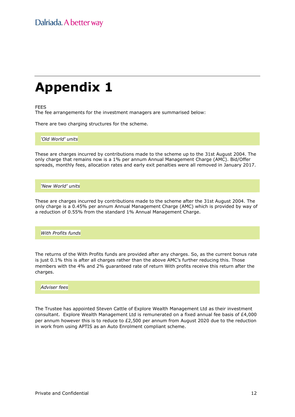## Appendix 1

FEES

The fee arrangements for the investment managers are summarised below:

There are two charging structures for the scheme.

'Old World' units

These are charges incurred by contributions made to the scheme up to the 31st August 2004. The only charge that remains now is a 1% per annum Annual Management Charge (AMC). Bid/Offer spreads, monthly fees, allocation rates and early exit penalties were all removed in January 2017.

'New World' units

These are charges incurred by contributions made to the scheme after the 31st August 2004. The only charge is a 0.45% per annum Annual Management Charge (AMC) which is provided by way of a reduction of 0.55% from the standard 1% Annual Management Charge.

With Profits funds

The returns of the With Profits funds are provided after any charges. So, as the current bonus rate is just 0.1% this is after all charges rather than the above AMC's further reducing this. Those members with the 4% and 2% guaranteed rate of return With profits receive this return after the charges.

#### Adviser fees

The Trustee has appointed Steven Cattle of Explore Wealth Management Ltd as their investment consultant. Explore Wealth Management Ltd is remunerated on a fixed annual fee basis of £4,000 per annum however this is to reduce to £2,500 per annum from August 2020 due to the reduction in work from using APTIS as an Auto Enrolment compliant scheme.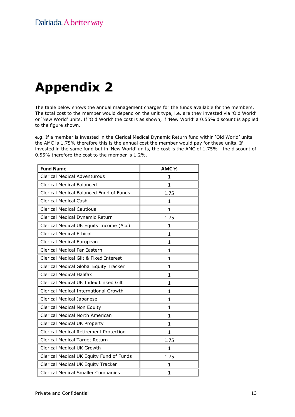# Appendix 2

The table below shows the annual management charges for the funds available for the members. The total cost to the member would depend on the unit type, i.e. are they invested via 'Old World' or 'New World' units. If 'Old World' the cost is as shown, if 'New World' a 0.55% discount is applied to the figure shown.

e.g. If a member is invested in the Clerical Medical Dynamic Return fund within 'Old World' units the AMC is 1.75% therefore this is the annual cost the member would pay for these units. If invested in the same fund but in 'New World' units, the cost is the AMC of 1.75% - the discount of 0.55% therefore the cost to the member is 1.2%.

| <b>Fund Name</b>                              | AMC%         |
|-----------------------------------------------|--------------|
| <b>Clerical Medical Adventurous</b>           | 1            |
| <b>Clerical Medical Balanced</b>              | 1            |
| Clerical Medical Balanced Fund of Funds       | 1.75         |
| <b>Clerical Medical Cash</b>                  | 1            |
| <b>Clerical Medical Cautious</b>              | $\mathbf{1}$ |
| Clerical Medical Dynamic Return               | 1.75         |
| Clerical Medical UK Equity Income (Acc)       | $\mathbf{1}$ |
| <b>Clerical Medical Ethical</b>               | 1            |
| Clerical Medical European                     | 1            |
| Clerical Medical Far Eastern                  | 1            |
| Clerical Medical Gilt & Fixed Interest        | 1            |
| Clerical Medical Global Equity Tracker        | 1            |
| <b>Clerical Medical Halifax</b>               | $\mathbf{1}$ |
| Clerical Medical UK Index Linked Gilt         | $\mathbf{1}$ |
| Clerical Medical International Growth         | 1            |
| Clerical Medical Japanese                     | 1            |
| Clerical Medical Non Equity                   | 1            |
| Clerical Medical North American               | 1            |
| Clerical Medical UK Property                  | 1            |
| <b>Clerical Medical Retirement Protection</b> | $\mathbf{1}$ |
| Clerical Medical Target Return                | 1.75         |
| Clerical Medical UK Growth                    | 1            |
| Clerical Medical UK Equity Fund of Funds      | 1.75         |
| Clerical Medical UK Equity Tracker            | 1            |
| <b>Clerical Medical Smaller Companies</b>     | 1            |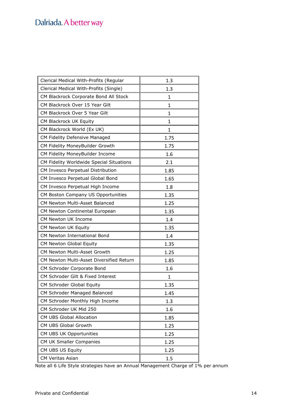### Dalriada. A better way

| Clerical Medical With-Profits (Regular   | 1.3          |
|------------------------------------------|--------------|
| Clerical Medical With-Profits (Single)   | 1.3          |
| CM Blackrock Corporate Bond All Stock    | 1            |
| CM Blackrock Over 15 Year Gilt           | 1            |
| CM Blackrock Over 5 Year Gilt            | 1            |
| CM Blackrock UK Equity                   | $\mathbf{1}$ |
| CM Blackrock World (Ex UK)               | $\mathbf{1}$ |
| CM Fidelity Defensive Managed            | 1.75         |
| CM Fidelity MoneyBuilder Growth          | 1.75         |
| CM Fidelity MoneyBuilder Income          | 1.6          |
| CM Fidelity Worldwide Special Situations | 2.1          |
| CM Invesco Perpetual Distribution        | 1.85         |
| CM Invesco Perpetual Global Bond         | 1.65         |
| CM Invesco Perpetual High Income         | 1.8          |
| CM Boston Company US Opportunities       | 1.35         |
| CM Newton Multi-Asset Balanced           | 1.25         |
| CM Newton Continental European           | 1.35         |
| CM Newton UK Income                      | 1.4          |
| CM Newton UK Equity                      | 1.35         |
| CM Newton International Bond             | 1.4          |
| CM Newton Global Equity                  | 1.35         |
| CM Newton Multi-Asset Growth             | 1.25         |
| CM Newton Multi-Asset Diversified Return | 1.85         |
| CM Schroder Corporate Bond               | 1.6          |
| CM Schroder Gilt & Fixed Interest        | $\mathbf{1}$ |
| CM Schroder Global Equity                | 1.35         |
| CM Schroder Managed Balanced             | 1.45         |
| CM Schroder Monthly High Income          | 1.3          |
| CM Schroder UK Mid 250                   | 1.6          |
| CM UBS Global Allocation                 | 1.85         |
| CM UBS Global Growth                     | 1.25         |
| CM UBS UK Opportunities                  | 1.25         |
| CM UK Smaller Companies                  | 1.25         |
| CM UBS US Equity                         | 1.25         |
| <b>CM Veritas Asian</b>                  | 1.5          |

Note all 6 Life Style strategies have an Annual Management Charge of 1% per annum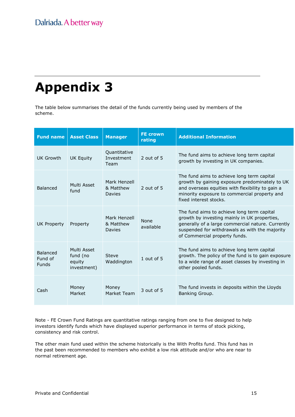# Appendix 3

The table below summarises the detail of the funds currently being used by members of the scheme.

| <b>Fund name</b>                           | <b>Asset Class</b>                               | <b>Manager</b>                             | <b>FE crown</b><br>rating | <b>Additional Information</b>                                                                                                                                                                                                      |
|--------------------------------------------|--------------------------------------------------|--------------------------------------------|---------------------------|------------------------------------------------------------------------------------------------------------------------------------------------------------------------------------------------------------------------------------|
| UK Growth                                  | <b>UK Equity</b>                                 | Quantitative<br>Investment<br>Team         | 2 out of 5                | The fund aims to achieve long term capital<br>growth by investing in UK companies.                                                                                                                                                 |
| Balanced                                   | Multi Asset<br>fund                              | Mark Henzell<br>& Matthew<br><b>Davies</b> | 2 out of 5                | The fund aims to achieve long term capital<br>growth by gaining exposure predominately to UK<br>and overseas equities with flexibility to gain a<br>minority exposure to commercial property and<br>fixed interest stocks.         |
| <b>UK Property</b>                         | Property                                         | Mark Henzell<br>& Matthew<br><b>Davies</b> | <b>None</b><br>available  | The fund aims to achieve long term capital<br>growth by investing mainly in UK properties,<br>generally of a large commercial nature. Currently<br>suspended for withdrawals as with the majority<br>of Commercial property funds. |
| <b>Balanced</b><br>Fund of<br><b>Funds</b> | Multi Asset<br>fund (no<br>equity<br>investment) | <b>Steve</b><br>Waddington                 | 1 out of 5                | The fund aims to achieve long term capital<br>growth. The policy of the fund is to gain exposure<br>to a wide range of asset classes by investing in<br>other pooled funds.                                                        |
| Cash                                       | Money<br>Market                                  | Money<br>Market Team                       | 3 out of 5                | The fund invests in deposits within the Lloyds<br>Banking Group.                                                                                                                                                                   |

Note - FE Crown Fund Ratings are quantitative ratings ranging from one to five designed to help investors identify funds which have displayed superior performance in terms of stock picking, consistency and risk control.

The other main fund used within the scheme historically is the With Profits fund. This fund has in the past been recommended to members who exhibit a low risk attitude and/or who are near to normal retirement age.